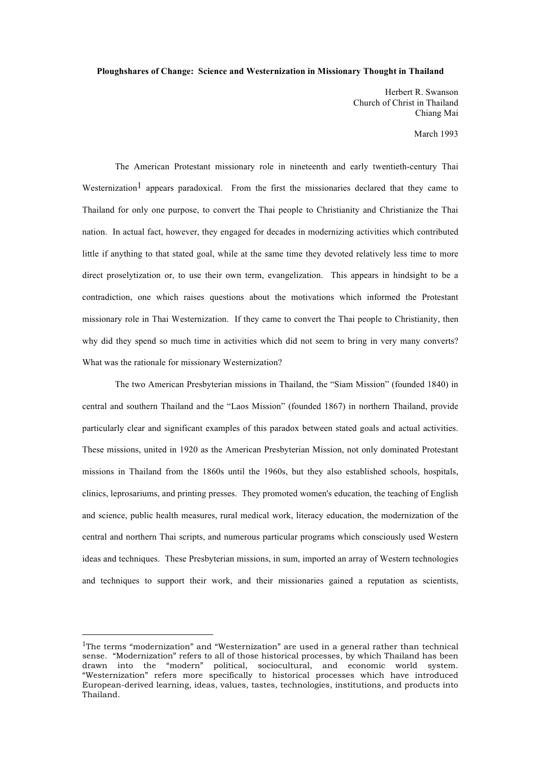## **Ploughshares of Change: Science and Westernization in Missionary Thought in Thailand**

Herbert R. Swanson Church of Christ in Thailand Chiang Mai

March 1993

The American Protestant missionary role in nineteenth and early twentieth-century Thai Westernization<sup>1</sup> appears paradoxical. From the first the missionaries declared that they came to Thailand for only one purpose, to convert the Thai people to Christianity and Christianize the Thai nation. In actual fact, however, they engaged for decades in modernizing activities which contributed little if anything to that stated goal, while at the same time they devoted relatively less time to more direct proselytization or, to use their own term, evangelization. This appears in hindsight to be a contradiction, one which raises questions about the motivations which informed the Protestant missionary role in Thai Westernization. If they came to convert the Thai people to Christianity, then why did they spend so much time in activities which did not seem to bring in very many converts? What was the rationale for missionary Westernization?

The two American Presbyterian missions in Thailand, the "Siam Mission" (founded 1840) in central and southern Thailand and the "Laos Mission" (founded 1867) in northern Thailand, provide particularly clear and significant examples of this paradox between stated goals and actual activities. These missions, united in 1920 as the American Presbyterian Mission, not only dominated Protestant missions in Thailand from the 1860s until the 1960s, but they also established schools, hospitals, clinics, leprosariums, and printing presses. They promoted women's education, the teaching of English and science, public health measures, rural medical work, literacy education, the modernization of the central and northern Thai scripts, and numerous particular programs which consciously used Western ideas and techniques. These Presbyterian missions, in sum, imported an array of Western technologies and techniques to support their work, and their missionaries gained a reputation as scientists,

<sup>&</sup>lt;sup>1</sup>The terms "modernization" and "Westernization" are used in a general rather than technical sense. "Modernization" refers to all of those historical processes, by which Thailand has been drawn into the "modern" political, sociocultural, and economic world system. "Westernization" refers more specifically to historical processes which have introduced European-derived learning, ideas, values, tastes, technologies, institutions, and products into Thailand.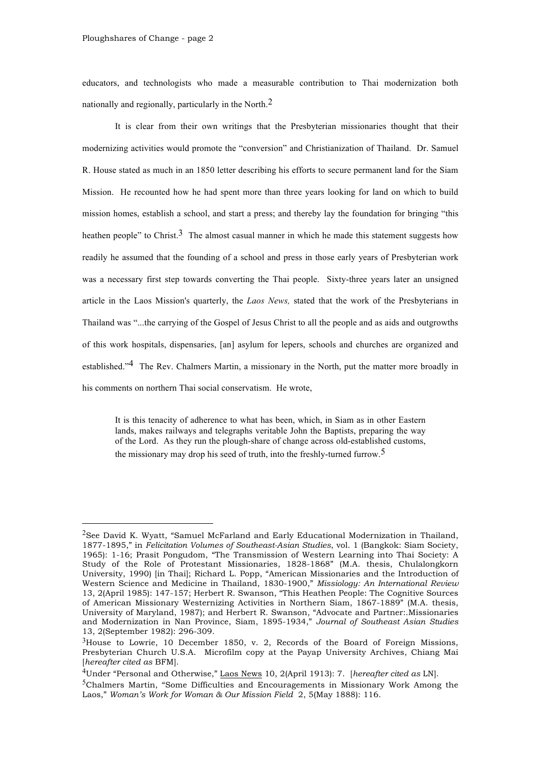educators, and technologists who made a measurable contribution to Thai modernization both nationally and regionally, particularly in the North. $<sup>2</sup>$ </sup>

It is clear from their own writings that the Presbyterian missionaries thought that their modernizing activities would promote the "conversion" and Christianization of Thailand. Dr. Samuel R. House stated as much in an 1850 letter describing his efforts to secure permanent land for the Siam Mission. He recounted how he had spent more than three years looking for land on which to build mission homes, establish a school, and start a press; and thereby lay the foundation for bringing "this heathen people" to Christ.<sup>3</sup> The almost casual manner in which he made this statement suggests how readily he assumed that the founding of a school and press in those early years of Presbyterian work was a necessary first step towards converting the Thai people. Sixty-three years later an unsigned article in the Laos Mission's quarterly, the *Laos News,* stated that the work of the Presbyterians in Thailand was "...the carrying of the Gospel of Jesus Christ to all the people and as aids and outgrowths of this work hospitals, dispensaries, [an] asylum for lepers, schools and churches are organized and established."<sup>4</sup> The Rev. Chalmers Martin, a missionary in the North, put the matter more broadly in his comments on northern Thai social conservatism. He wrote,

It is this tenacity of adherence to what has been, which, in Siam as in other Eastern lands, makes railways and telegraphs veritable John the Baptists, preparing the way of the Lord. As they run the plough-share of change across old-established customs, the missionary may drop his seed of truth, into the freshly-turned furrow  $\frac{5}{1}$ 

<sup>&</sup>lt;sup>2</sup>See David K. Wyatt, "Samuel McFarland and Early Educational Modernization in Thailand, 1877-1895," in *Felicitation Volumes of Southeast-Asian Studies*, vol. 1 (Bangkok: Siam Society, 1965): 1-16; Prasit Pongudom, "The Transmission of Western Learning into Thai Society: A Study of the Role of Protestant Missionaries, 1828-1868" (M.A. thesis, Chulalongkorn University, 1990) [in Thai]; Richard L. Popp, "American Missionaries and the Introduction of Western Science and Medicine in Thailand, 1830-1900," *Missiology: An International Review* 13, 2(April 1985): 147-157; Herbert R. Swanson, "This Heathen People: The Cognitive Sources of American Missionary Westernizing Activities in Northern Siam, 1867-1889" (M.A. thesis, University of Maryland, 1987); and Herbert R. Swanson, "Advocate and Partner:.Missionaries and Modernization in Nan Province, Siam, 1895-1934," *Journal of Southeast Asian Studies* 13, 2(September 1982): 296-309.

 $3$ House to Lowrie, 10 December 1850, v. 2, Records of the Board of Foreign Missions, Presbyterian Church U.S.A. Microfilm copy at the Payap University Archives, Chiang Mai [*hereafter cited as* BFM].

<sup>4</sup>Under "Personal and Otherwise," Laos News 10, 2(April 1913): 7. [*hereafter cited as* LN].

<sup>5</sup>Chalmers Martin, "Some Difficulties and Encouragements in Missionary Work Among the Laos," *Woman's Work for Woman & Our Mission Field* 2, 5(May 1888): 116.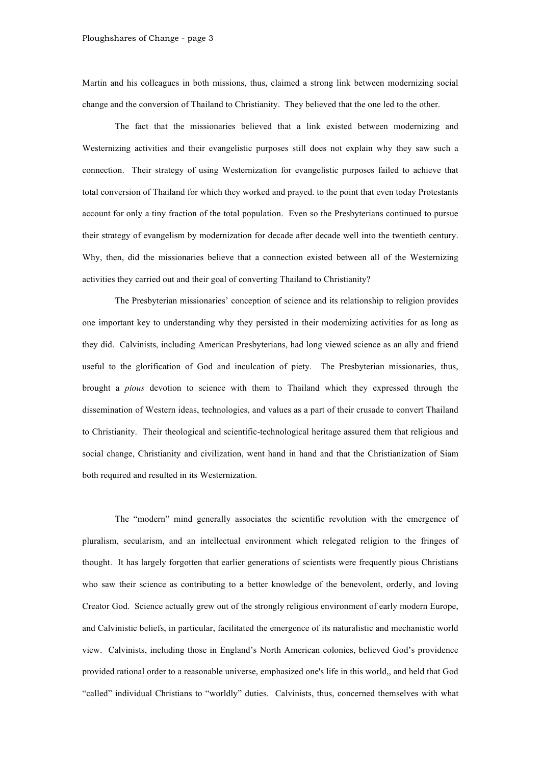Martin and his colleagues in both missions, thus, claimed a strong link between modernizing social change and the conversion of Thailand to Christianity. They believed that the one led to the other.

The fact that the missionaries believed that a link existed between modernizing and Westernizing activities and their evangelistic purposes still does not explain why they saw such a connection. Their strategy of using Westernization for evangelistic purposes failed to achieve that total conversion of Thailand for which they worked and prayed. to the point that even today Protestants account for only a tiny fraction of the total population. Even so the Presbyterians continued to pursue their strategy of evangelism by modernization for decade after decade well into the twentieth century. Why, then, did the missionaries believe that a connection existed between all of the Westernizing activities they carried out and their goal of converting Thailand to Christianity?

The Presbyterian missionaries' conception of science and its relationship to religion provides one important key to understanding why they persisted in their modernizing activities for as long as they did. Calvinists, including American Presbyterians, had long viewed science as an ally and friend useful to the glorification of God and inculcation of piety. The Presbyterian missionaries, thus, brought a *pious* devotion to science with them to Thailand which they expressed through the dissemination of Western ideas, technologies, and values as a part of their crusade to convert Thailand to Christianity. Their theological and scientific-technological heritage assured them that religious and social change, Christianity and civilization, went hand in hand and that the Christianization of Siam both required and resulted in its Westernization.

The "modern" mind generally associates the scientific revolution with the emergence of pluralism, secularism, and an intellectual environment which relegated religion to the fringes of thought. It has largely forgotten that earlier generations of scientists were frequently pious Christians who saw their science as contributing to a better knowledge of the benevolent, orderly, and loving Creator God. Science actually grew out of the strongly religious environment of early modern Europe, and Calvinistic beliefs, in particular, facilitated the emergence of its naturalistic and mechanistic world view. Calvinists, including those in England's North American colonies, believed God's providence provided rational order to a reasonable universe, emphasized one's life in this world,, and held that God "called" individual Christians to "worldly" duties. Calvinists, thus, concerned themselves with what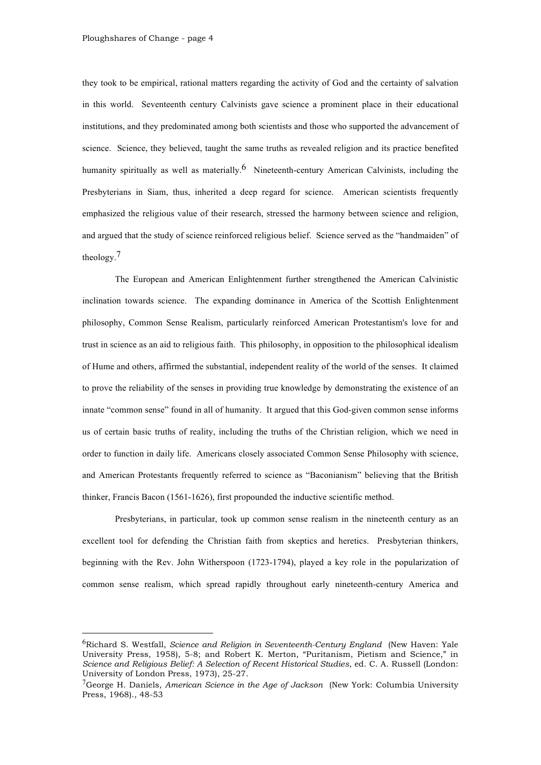they took to be empirical, rational matters regarding the activity of God and the certainty of salvation in this world. Seventeenth century Calvinists gave science a prominent place in their educational institutions, and they predominated among both scientists and those who supported the advancement of science. Science, they believed, taught the same truths as revealed religion and its practice benefited humanity spiritually as well as materially.<sup>6</sup> Nineteenth-century American Calvinists, including the Presbyterians in Siam, thus, inherited a deep regard for science. American scientists frequently emphasized the religious value of their research, stressed the harmony between science and religion, and argued that the study of science reinforced religious belief. Science served as the "handmaiden" of theology.7

The European and American Enlightenment further strengthened the American Calvinistic inclination towards science. The expanding dominance in America of the Scottish Enlightenment philosophy, Common Sense Realism, particularly reinforced American Protestantism's love for and trust in science as an aid to religious faith. This philosophy, in opposition to the philosophical idealism of Hume and others, affirmed the substantial, independent reality of the world of the senses. It claimed to prove the reliability of the senses in providing true knowledge by demonstrating the existence of an innate "common sense" found in all of humanity. It argued that this God-given common sense informs us of certain basic truths of reality, including the truths of the Christian religion, which we need in order to function in daily life. Americans closely associated Common Sense Philosophy with science, and American Protestants frequently referred to science as "Baconianism" believing that the British thinker, Francis Bacon (1561-1626), first propounded the inductive scientific method.

Presbyterians, in particular, took up common sense realism in the nineteenth century as an excellent tool for defending the Christian faith from skeptics and heretics. Presbyterian thinkers, beginning with the Rev. John Witherspoon (1723-1794), played a key role in the popularization of common sense realism, which spread rapidly throughout early nineteenth-century America and

 <sup>6</sup>Richard S. Westfall, *Science and Religion in Seventeenth-Century England* (New Haven: Yale University Press, 1958), 5-8; and Robert K. Merton, "Puritanism, Pietism and Science," in *Science and Religious Belief: A Selection of Recent Historical Studies*, ed. C. A. Russell (London: University of London Press, 1973), 25-27.

<sup>7</sup>George H. Daniels, *American Science in the Age of Jackson* (New York: Columbia University Press, 1968)., 48-53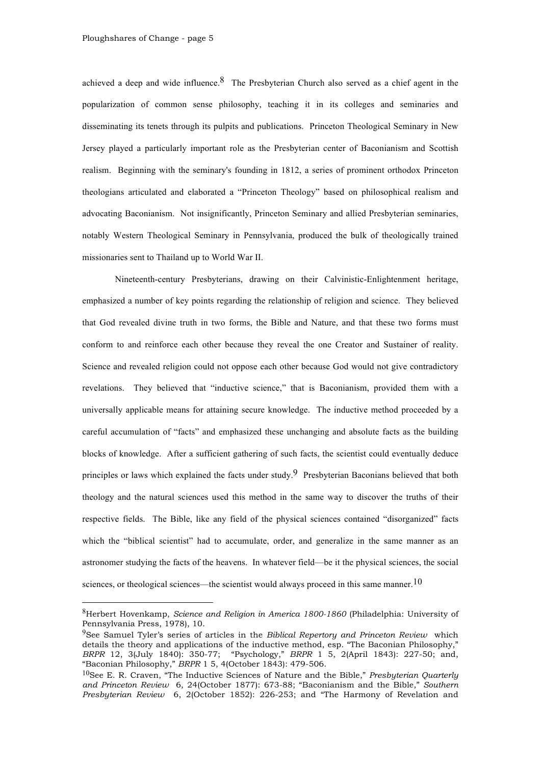achieved a deep and wide influence. <sup>8</sup> The Presbyterian Church also served as a chief agent in the popularization of common sense philosophy, teaching it in its colleges and seminaries and disseminating its tenets through its pulpits and publications. Princeton Theological Seminary in New Jersey played a particularly important role as the Presbyterian center of Baconianism and Scottish realism. Beginning with the seminary's founding in 1812, a series of prominent orthodox Princeton theologians articulated and elaborated a "Princeton Theology" based on philosophical realism and advocating Baconianism. Not insignificantly, Princeton Seminary and allied Presbyterian seminaries, notably Western Theological Seminary in Pennsylvania, produced the bulk of theologically trained missionaries sent to Thailand up to World War II.

Nineteenth-century Presbyterians, drawing on their Calvinistic-Enlightenment heritage, emphasized a number of key points regarding the relationship of religion and science. They believed that God revealed divine truth in two forms, the Bible and Nature, and that these two forms must conform to and reinforce each other because they reveal the one Creator and Sustainer of reality. Science and revealed religion could not oppose each other because God would not give contradictory revelations. They believed that "inductive science," that is Baconianism, provided them with a universally applicable means for attaining secure knowledge. The inductive method proceeded by a careful accumulation of "facts" and emphasized these unchanging and absolute facts as the building blocks of knowledge. After a sufficient gathering of such facts, the scientist could eventually deduce principles or laws which explained the facts under study.<sup>9</sup> Presbyterian Baconians believed that both theology and the natural sciences used this method in the same way to discover the truths of their respective fields. The Bible, like any field of the physical sciences contained "disorganized" facts which the "biblical scientist" had to accumulate, order, and generalize in the same manner as an astronomer studying the facts of the heavens. In whatever field—be it the physical sciences, the social sciences, or theological sciences—the scientist would always proceed in this same manner.<sup>10</sup>

 <sup>8</sup>Herbert Hovenkamp, *Science and Religion in America 1800-1860* (Philadelphia: University of Pennsylvania Press, 1978), 10.

<sup>9</sup>See Samuel Tyler's series of articles in the *Biblical Repertory and Princeton Review* which details the theory and applications of the inductive method, esp. "The Baconian Philosophy," *BRPR* 12, 3(July 1840): 350-77; "Psychology," *BRPR* 1 5, 2(April 1843): 227-50; and, "Baconian Philosophy," *BRPR* 1 5, 4(October 1843): 479-506.

<sup>10</sup>See E. R. Craven, "The Inductive Sciences of Nature and the Bible," *Presbyterian Quarterly and Princeton Review* 6, 24(October 1877): 673-88; "Baconianism and the Bible," *Southern Presbyterian Review* 6, 2(October 1852): 226-253; and "The Harmony of Revelation and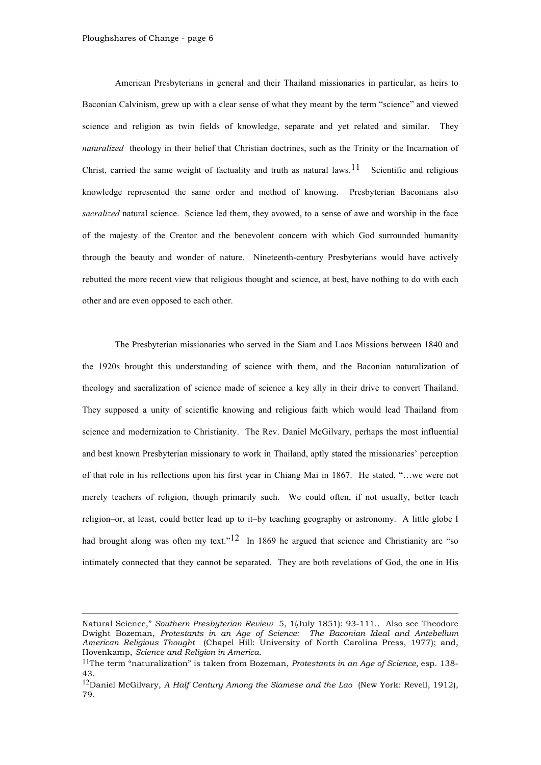$\overline{a}$ 

American Presbyterians in general and their Thailand missionaries in particular, as heirs to Baconian Calvinism, grew up with a clear sense of what they meant by the term "science" and viewed science and religion as twin fields of knowledge, separate and yet related and similar. They *naturalized* theology in their belief that Christian doctrines, such as the Trinity or the Incarnation of Christ, carried the same weight of factuality and truth as natural laws.<sup>11</sup> Scientific and religious knowledge represented the same order and method of knowing. Presbyterian Baconians also *sacralized* natural science. Science led them, they avowed, to a sense of awe and worship in the face of the majesty of the Creator and the benevolent concern with which God surrounded humanity through the beauty and wonder of nature. Nineteenth-century Presbyterians would have actively rebutted the more recent view that religious thought and science, at best, have nothing to do with each other and are even opposed to each other.

The Presbyterian missionaries who served in the Siam and Laos Missions between 1840 and the 1920s brought this understanding of science with them, and the Baconian naturalization of theology and sacralization of science made of science a key ally in their drive to convert Thailand. They supposed a unity of scientific knowing and religious faith which would lead Thailand from science and modernization to Christianity. The Rev. Daniel McGilvary, perhaps the most influential and best known Presbyterian missionary to work in Thailand, aptly stated the missionaries' perception of that role in his reflections upon his first year in Chiang Mai in 1867. He stated, "…we were not merely teachers of religion, though primarily such. We could often, if not usually, better teach religion–or, at least, could better lead up to it–by teaching geography or astronomy. A little globe I had brought along was often my text."<sup>12</sup> In 1869 he argued that science and Christianity are "so intimately connected that they cannot be separated. They are both revelations of God, the one in His

Natural Science," *Southern Presbyterian Review* 5, 1(July 1851): 93-111.. Also see Theodore Dwight Bozeman, *Protestants in an Age of Science: The Baconian Ideal and Antebellum American Religious Thought* (Chapel Hill: University of North Carolina Press, 1977); and, Hovenkamp, *Science and Religion in America.*

<sup>11</sup>The term "naturalization" is taken from Bozeman, *Protestants in an Age of Science,* esp. 138- 43.

<sup>12</sup>Daniel McGilvary, *A Half Century Among the Siamese and the Lao* (New York: Revell, 1912), 79.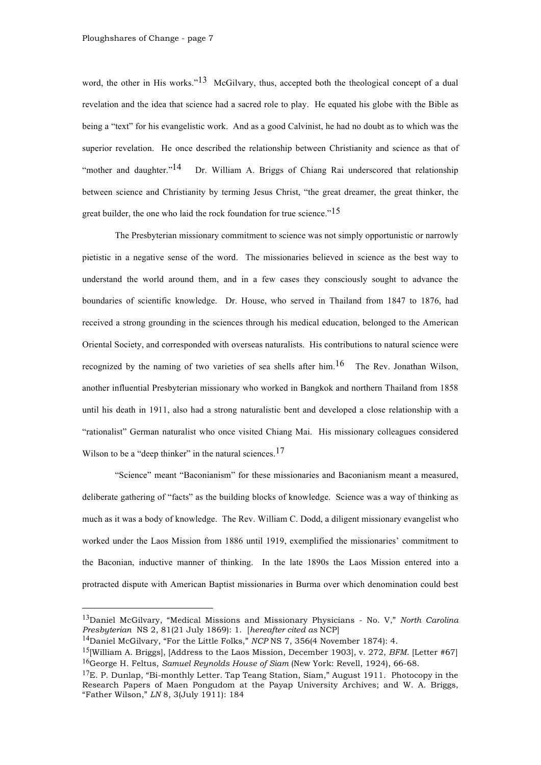word, the other in His works."<sup>13</sup> McGilvary, thus, accepted both the theological concept of a dual revelation and the idea that science had a sacred role to play. He equated his globe with the Bible as being a "text" for his evangelistic work. And as a good Calvinist, he had no doubt as to which was the superior revelation. He once described the relationship between Christianity and science as that of "mother and daughter."<sup>14</sup> Dr. William A. Briggs of Chiang Rai underscored that relationship between science and Christianity by terming Jesus Christ, "the great dreamer, the great thinker, the great builder, the one who laid the rock foundation for true science." $15$ 

The Presbyterian missionary commitment to science was not simply opportunistic or narrowly pietistic in a negative sense of the word. The missionaries believed in science as the best way to understand the world around them, and in a few cases they consciously sought to advance the boundaries of scientific knowledge. Dr. House, who served in Thailand from 1847 to 1876, had received a strong grounding in the sciences through his medical education, belonged to the American Oriental Society, and corresponded with overseas naturalists. His contributions to natural science were recognized by the naming of two varieties of sea shells after him.<sup>16</sup> The Rev. Jonathan Wilson, another influential Presbyterian missionary who worked in Bangkok and northern Thailand from 1858 until his death in 1911, also had a strong naturalistic bent and developed a close relationship with a "rationalist" German naturalist who once visited Chiang Mai. His missionary colleagues considered Wilson to be a "deep thinker" in the natural sciences.<sup>17</sup>

"Science" meant "Baconianism" for these missionaries and Baconianism meant a measured, deliberate gathering of "facts" as the building blocks of knowledge. Science was a way of thinking as much as it was a body of knowledge. The Rev. William C. Dodd, a diligent missionary evangelist who worked under the Laos Mission from 1886 until 1919, exemplified the missionaries' commitment to the Baconian, inductive manner of thinking. In the late 1890s the Laos Mission entered into a protracted dispute with American Baptist missionaries in Burma over which denomination could best

 <sup>13</sup>Daniel McGilvary, "Medical Missions and Missionary Physicians - No. V," *North Carolina Presbyterian* NS 2, 81(21 July 1869): 1. [*hereafter cited as* NCP]

<sup>&</sup>lt;sup>14</sup>Daniel McGilvary, "For the Little Folks," *NCP* NS 7, 356(4 November 1874): 4.

<sup>15</sup>[William A. Briggs], [Address to the Laos Mission, December 1903], v. 272, *BFM*. [Letter #67] 16George H. Feltus, *Samuel Reynolds House of Siam* (New York: Revell, 1924), 66-68.

 $17E$ . P. Dunlap, "Bi-monthly Letter. Tap Teang Station, Siam," August 1911. Photocopy in the Research Papers of Maen Pongudom at the Payap University Archives; and W. A. Briggs, "Father Wilson," *LN* 8, 3(July 1911): 184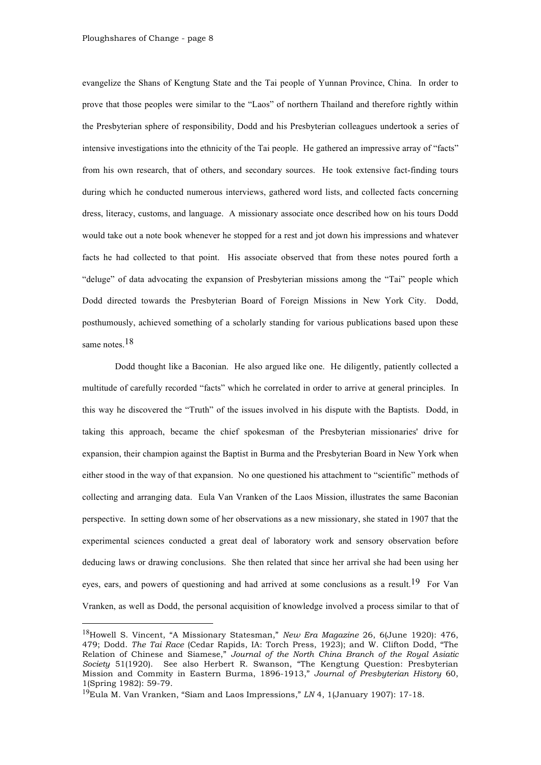evangelize the Shans of Kengtung State and the Tai people of Yunnan Province, China. In order to prove that those peoples were similar to the "Laos" of northern Thailand and therefore rightly within the Presbyterian sphere of responsibility, Dodd and his Presbyterian colleagues undertook a series of intensive investigations into the ethnicity of the Tai people. He gathered an impressive array of "facts" from his own research, that of others, and secondary sources. He took extensive fact-finding tours during which he conducted numerous interviews, gathered word lists, and collected facts concerning dress, literacy, customs, and language. A missionary associate once described how on his tours Dodd would take out a note book whenever he stopped for a rest and jot down his impressions and whatever facts he had collected to that point. His associate observed that from these notes poured forth a "deluge" of data advocating the expansion of Presbyterian missions among the "Tai" people which Dodd directed towards the Presbyterian Board of Foreign Missions in New York City. Dodd, posthumously, achieved something of a scholarly standing for various publications based upon these same notes.<sup>18</sup>

Dodd thought like a Baconian. He also argued like one. He diligently, patiently collected a multitude of carefully recorded "facts" which he correlated in order to arrive at general principles. In this way he discovered the "Truth" of the issues involved in his dispute with the Baptists. Dodd, in taking this approach, became the chief spokesman of the Presbyterian missionaries' drive for expansion, their champion against the Baptist in Burma and the Presbyterian Board in New York when either stood in the way of that expansion. No one questioned his attachment to "scientific" methods of collecting and arranging data. Eula Van Vranken of the Laos Mission, illustrates the same Baconian perspective. In setting down some of her observations as a new missionary, she stated in 1907 that the experimental sciences conducted a great deal of laboratory work and sensory observation before deducing laws or drawing conclusions. She then related that since her arrival she had been using her eyes, ears, and powers of questioning and had arrived at some conclusions as a result.<sup>19</sup> For Van Vranken, as well as Dodd, the personal acquisition of knowledge involved a process similar to that of

 <sup>18</sup>Howell S. Vincent, "A Missionary Statesman," *New Era Magazine* 26, 6(June 1920): 476, 479; Dodd. *The Tai Race* (Cedar Rapids, IA: Torch Press, 1923); and W. Clifton Dodd, "The Relation of Chinese and Siamese," *Journal of the North China Branch of the Royal Asiatic Society* 51(1920). See also Herbert R. Swanson, "The Kengtung Question: Presbyterian Mission and Commity in Eastern Burma, 1896-1913," *Journal of Presbyterian History* 60, 1(Spring 1982): 59-79.

<sup>19</sup>Eula M. Van Vranken, "Siam and Laos Impressions," *LN* 4, 1(January 1907): 17-18.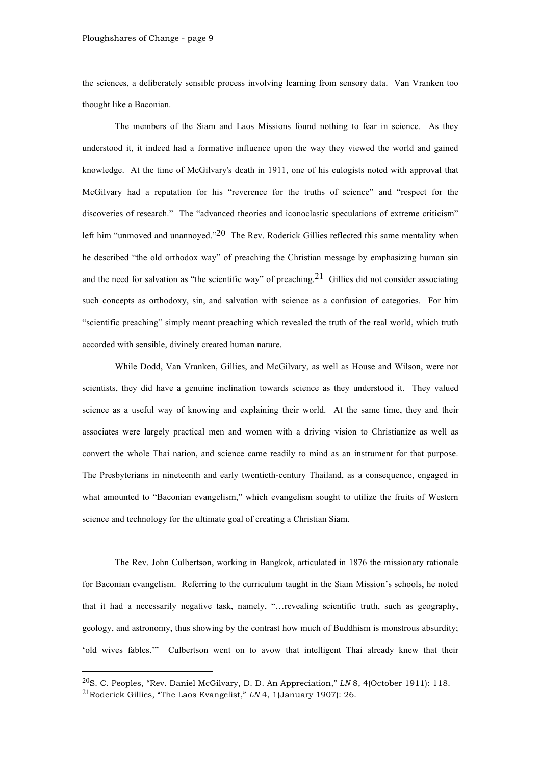the sciences, a deliberately sensible process involving learning from sensory data. Van Vranken too thought like a Baconian.

The members of the Siam and Laos Missions found nothing to fear in science. As they understood it, it indeed had a formative influence upon the way they viewed the world and gained knowledge. At the time of McGilvary's death in 1911, one of his eulogists noted with approval that McGilvary had a reputation for his "reverence for the truths of science" and "respect for the discoveries of research." The "advanced theories and iconoclastic speculations of extreme criticism" left him "unmoved and unannoved." $20$  The Rev. Roderick Gillies reflected this same mentality when he described "the old orthodox way" of preaching the Christian message by emphasizing human sin and the need for salvation as "the scientific way" of preaching.<sup>21</sup> Gillies did not consider associating such concepts as orthodoxy, sin, and salvation with science as a confusion of categories. For him "scientific preaching" simply meant preaching which revealed the truth of the real world, which truth accorded with sensible, divinely created human nature.

While Dodd, Van Vranken, Gillies, and McGilvary, as well as House and Wilson, were not scientists, they did have a genuine inclination towards science as they understood it. They valued science as a useful way of knowing and explaining their world. At the same time, they and their associates were largely practical men and women with a driving vision to Christianize as well as convert the whole Thai nation, and science came readily to mind as an instrument for that purpose. The Presbyterians in nineteenth and early twentieth-century Thailand, as a consequence, engaged in what amounted to "Baconian evangelism," which evangelism sought to utilize the fruits of Western science and technology for the ultimate goal of creating a Christian Siam.

The Rev. John Culbertson, working in Bangkok, articulated in 1876 the missionary rationale for Baconian evangelism. Referring to the curriculum taught in the Siam Mission's schools, he noted that it had a necessarily negative task, namely, "…revealing scientific truth, such as geography, geology, and astronomy, thus showing by the contrast how much of Buddhism is monstrous absurdity; 'old wives fables.'" Culbertson went on to avow that intelligent Thai already knew that their

 <sup>20</sup>S. C. Peoples, "Rev. Daniel McGilvary, D. D. An Appreciation," *LN* 8, 4(October 1911): 118. 21Roderick Gillies, "The Laos Evangelist," *LN* 4, 1(January 1907): 26.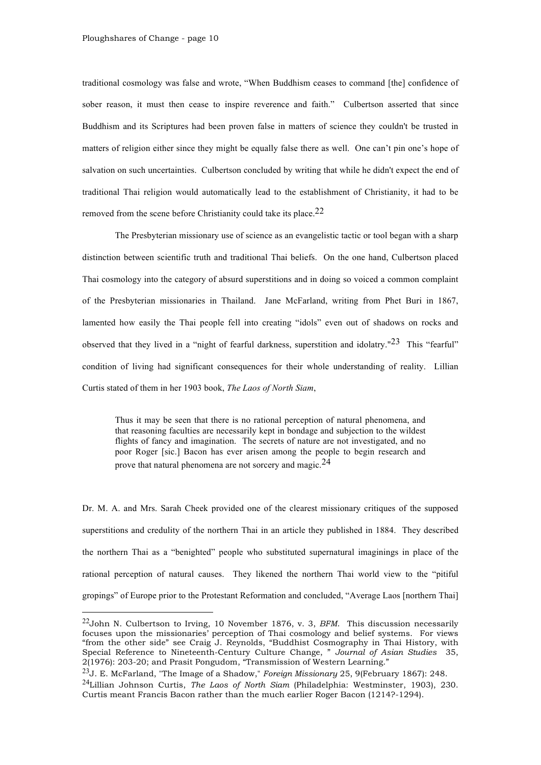traditional cosmology was false and wrote, "When Buddhism ceases to command [the] confidence of sober reason, it must then cease to inspire reverence and faith." Culbertson asserted that since Buddhism and its Scriptures had been proven false in matters of science they couldn't be trusted in matters of religion either since they might be equally false there as well. One can't pin one's hope of salvation on such uncertainties. Culbertson concluded by writing that while he didn't expect the end of traditional Thai religion would automatically lead to the establishment of Christianity, it had to be removed from the scene before Christianity could take its place.<sup>22</sup>

The Presbyterian missionary use of science as an evangelistic tactic or tool began with a sharp distinction between scientific truth and traditional Thai beliefs. On the one hand, Culbertson placed Thai cosmology into the category of absurd superstitions and in doing so voiced a common complaint of the Presbyterian missionaries in Thailand. Jane McFarland, writing from Phet Buri in 1867, lamented how easily the Thai people fell into creating "idols" even out of shadows on rocks and observed that they lived in a "night of fearful darkness, superstition and idolatry."23 This "fearful" condition of living had significant consequences for their whole understanding of reality. Lillian Curtis stated of them in her 1903 book, *The Laos of North Siam*,

Thus it may be seen that there is no rational perception of natural phenomena, and that reasoning faculties are necessarily kept in bondage and subjection to the wildest flights of fancy and imagination. The secrets of nature are not investigated, and no poor Roger [sic.] Bacon has ever arisen among the people to begin research and prove that natural phenomena are not sorcery and magic.<sup>24</sup>

Dr. M. A. and Mrs. Sarah Cheek provided one of the clearest missionary critiques of the supposed superstitions and credulity of the northern Thai in an article they published in 1884. They described the northern Thai as a "benighted" people who substituted supernatural imaginings in place of the rational perception of natural causes. They likened the northern Thai world view to the "pitiful gropings" of Europe prior to the Protestant Reformation and concluded, "Average Laos [northern Thai]

 <sup>22</sup>John N. Culbertson to Irving, 10 November 1876, v. 3, *BFM*. This discussion necessarily focuses upon the missionaries' perception of Thai cosmology and belief systems. For views "from the other side" see Craig J. Reynolds, "Buddhist Cosmography in Thai History, with Special Reference to Nineteenth-Century Culture Change, " *Journal of Asian Studies* 35, 2(1976): 203-20; and Prasit Pongudom, "Transmission of Western Learning."

<sup>23</sup>J. E. McFarland, "The Image of a Shadow," *Foreign Missionary* 25, 9(February 1867): 248. 24Lillian Johnson Curtis, *The Laos of North Siam* (Philadelphia: Westminster, 1903), 230. Curtis meant Francis Bacon rather than the much earlier Roger Bacon (1214?-1294).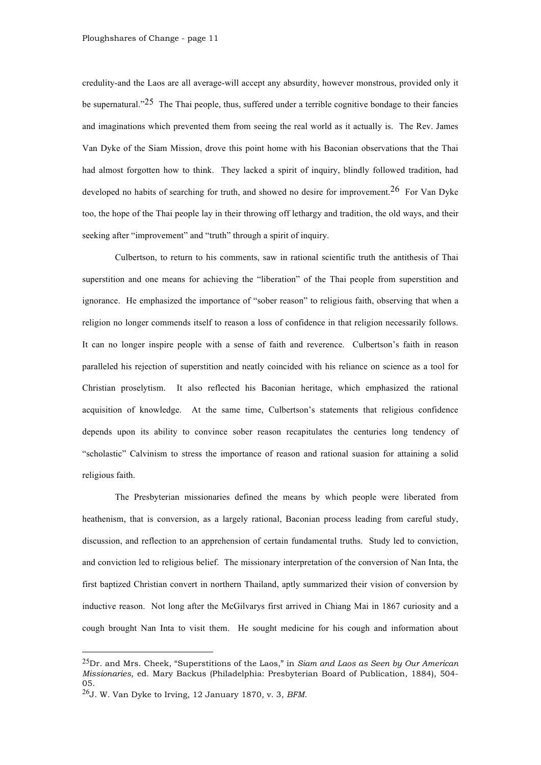credulity-and the Laos are all average-will accept any absurdity, however monstrous, provided only it be supernatural."<sup>25</sup> The Thai people, thus, suffered under a terrible cognitive bondage to their fancies and imaginations which prevented them from seeing the real world as it actually is. The Rev. James Van Dyke of the Siam Mission, drove this point home with his Baconian observations that the Thai had almost forgotten how to think. They lacked a spirit of inquiry, blindly followed tradition, had developed no habits of searching for truth, and showed no desire for improvement.<sup>26</sup> For Van Dyke too, the hope of the Thai people lay in their throwing off lethargy and tradition, the old ways, and their seeking after "improvement" and "truth" through a spirit of inquiry.

Culbertson, to return to his comments, saw in rational scientific truth the antithesis of Thai superstition and one means for achieving the "liberation" of the Thai people from superstition and ignorance. He emphasized the importance of "sober reason" to religious faith, observing that when a religion no longer commends itself to reason a loss of confidence in that religion necessarily follows. It can no longer inspire people with a sense of faith and reverence. Culbertson's faith in reason paralleled his rejection of superstition and neatly coincided with his reliance on science as a tool for Christian proselytism. It also reflected his Baconian heritage, which emphasized the rational acquisition of knowledge. At the same time, Culbertson's statements that religious confidence depends upon its ability to convince sober reason recapitulates the centuries long tendency of "scholastic" Calvinism to stress the importance of reason and rational suasion for attaining a solid religious faith.

The Presbyterian missionaries defined the means by which people were liberated from heathenism, that is conversion, as a largely rational, Baconian process leading from careful study, discussion, and reflection to an apprehension of certain fundamental truths. Study led to conviction, and conviction led to religious belief. The missionary interpretation of the conversion of Nan Inta, the first baptized Christian convert in northern Thailand, aptly summarized their vision of conversion by inductive reason. Not long after the McGilvarys first arrived in Chiang Mai in 1867 curiosity and a cough brought Nan Inta to visit them. He sought medicine for his cough and information about

 <sup>25</sup>Dr. and Mrs. Cheek, "Superstitions of the Laos," in *Siam and Laos as Seen by Our American Missionaries*, ed. Mary Backus (Philadelphia: Presbyterian Board of Publication, 1884), 504- 05.

<sup>26</sup>J. W. Van Dyke to Irving, 12 January 1870, v. 3, *BFM*.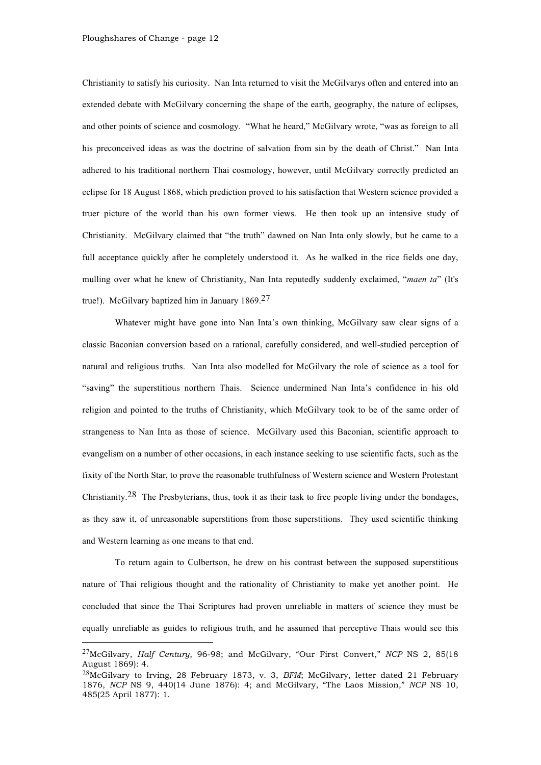Christianity to satisfy his curiosity. Nan Inta returned to visit the McGilvarys often and entered into an extended debate with McGilvary concerning the shape of the earth, geography, the nature of eclipses, and other points of science and cosmology. "What he heard," McGilvary wrote, "was as foreign to all his preconceived ideas as was the doctrine of salvation from sin by the death of Christ." Nan Inta adhered to his traditional northern Thai cosmology, however, until McGilvary correctly predicted an eclipse for 18 August 1868, which prediction proved to his satisfaction that Western science provided a truer picture of the world than his own former views. He then took up an intensive study of Christianity. McGilvary claimed that "the truth" dawned on Nan Inta only slowly, but he came to a full acceptance quickly after he completely understood it. As he walked in the rice fields one day, mulling over what he knew of Christianity, Nan Inta reputedly suddenly exclaimed, "*maen ta*" (It's true!). McGilvary baptized him in January 1869.27

Whatever might have gone into Nan Inta's own thinking, McGilvary saw clear signs of a classic Baconian conversion based on a rational, carefully considered, and well-studied perception of natural and religious truths. Nan Inta also modelled for McGilvary the role of science as a tool for "saving" the superstitious northern Thais. Science undermined Nan Inta's confidence in his old religion and pointed to the truths of Christianity, which McGilvary took to be of the same order of strangeness to Nan Inta as those of science. McGilvary used this Baconian, scientific approach to evangelism on a number of other occasions, in each instance seeking to use scientific facts, such as the fixity of the North Star, to prove the reasonable truthfulness of Western science and Western Protestant Christianity.<sup>28</sup> The Presbyterians, thus, took it as their task to free people living under the bondages, as they saw it, of unreasonable superstitions from those superstitions. They used scientific thinking and Western learning as one means to that end.

To return again to Culbertson, he drew on his contrast between the supposed superstitious nature of Thai religious thought and the rationality of Christianity to make yet another point. He concluded that since the Thai Scriptures had proven unreliable in matters of science they must be equally unreliable as guides to religious truth, and he assumed that perceptive Thais would see this

 <sup>27</sup>McGilvary, *Half Century*, 96-98; and McGilvary, "Our First Convert," *NCP* NS 2, 85(18 August 1869): 4.

<sup>28</sup>McGilvary to Irving, 28 February 1873, v. 3, *BFM*; McGilvary, letter dated 21 February 1876, *NCP* NS 9, 440(14 June 1876): 4; and McGilvary, "The Laos Mission," *NCP* NS 10, 485(25 April 1877): 1.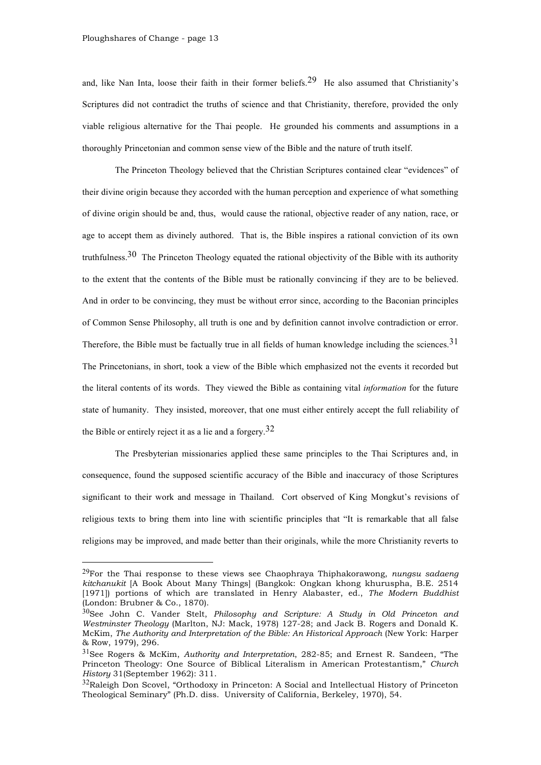and, like Nan Inta, loose their faith in their former beliefs.<sup>29</sup> He also assumed that Christianity's Scriptures did not contradict the truths of science and that Christianity, therefore, provided the only viable religious alternative for the Thai people. He grounded his comments and assumptions in a thoroughly Princetonian and common sense view of the Bible and the nature of truth itself.

The Princeton Theology believed that the Christian Scriptures contained clear "evidences" of their divine origin because they accorded with the human perception and experience of what something of divine origin should be and, thus, would cause the rational, objective reader of any nation, race, or age to accept them as divinely authored. That is, the Bible inspires a rational conviction of its own truthfulness.<sup>30</sup> The Princeton Theology equated the rational objectivity of the Bible with its authority to the extent that the contents of the Bible must be rationally convincing if they are to be believed. And in order to be convincing, they must be without error since, according to the Baconian principles of Common Sense Philosophy, all truth is one and by definition cannot involve contradiction or error. Therefore, the Bible must be factually true in all fields of human knowledge including the sciences.  $31$ The Princetonians, in short, took a view of the Bible which emphasized not the events it recorded but the literal contents of its words. They viewed the Bible as containing vital *information* for the future state of humanity. They insisted, moreover, that one must either entirely accept the full reliability of the Bible or entirely reject it as a lie and a forgery.  $32$ 

The Presbyterian missionaries applied these same principles to the Thai Scriptures and, in consequence, found the supposed scientific accuracy of the Bible and inaccuracy of those Scriptures significant to their work and message in Thailand. Cort observed of King Mongkut's revisions of religious texts to bring them into line with scientific principles that "It is remarkable that all false religions may be improved, and made better than their originals, while the more Christianity reverts to

 <sup>29</sup>For the Thai response to these views see Chaophraya Thiphakorawong, *nungsu sadaeng kitchanukit* [A Book About Many Things] (Bangkok: Ongkan khong khuruspha, B.E. 2514 [1971]) portions of which are translated in Henry Alabaster, ed., *The Modern Buddhist* (London: Brubner & Co., 1870).

<sup>30</sup>See John C. Vander Stelt, *Philosophy and Scripture: A Study in Old Princeton and Westminster Theology* (Marlton, NJ: Mack, 1978) 127-28; and Jack B. Rogers and Donald K. McKim, *The Authority and Interpretation of the Bible: An Historical Approach* (New York: Harper & Row, 1979), 296.

<sup>31</sup>See Rogers & McKim, *Authority and Interpretation*, 282-85; and Ernest R. Sandeen, "The Princeton Theology: One Source of Biblical Literalism in American Protestantism," *Church History* 31(September 1962): 311.

<sup>&</sup>lt;sup>32</sup>Raleigh Don Scovel, "Orthodoxy in Princeton: A Social and Intellectual History of Princeton Theological Seminary" (Ph.D. diss. University of California, Berkeley, 1970), 54.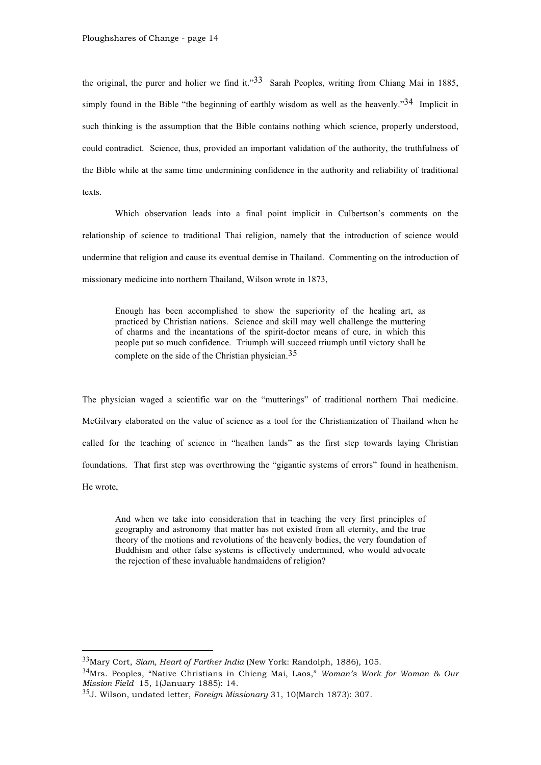the original, the purer and holier we find it." $33$  Sarah Peoples, writing from Chiang Mai in 1885, simply found in the Bible "the beginning of earthly wisdom as well as the heavenly."<sup>34</sup> Implicit in such thinking is the assumption that the Bible contains nothing which science, properly understood, could contradict. Science, thus, provided an important validation of the authority, the truthfulness of the Bible while at the same time undermining confidence in the authority and reliability of traditional texts.

Which observation leads into a final point implicit in Culbertson's comments on the relationship of science to traditional Thai religion, namely that the introduction of science would undermine that religion and cause its eventual demise in Thailand. Commenting on the introduction of missionary medicine into northern Thailand, Wilson wrote in 1873,

Enough has been accomplished to show the superiority of the healing art, as practiced by Christian nations. Science and skill may well challenge the muttering of charms and the incantations of the spirit-doctor means of cure, in which this people put so much confidence. Triumph will succeed triumph until victory shall be complete on the side of the Christian physician.35

The physician waged a scientific war on the "mutterings" of traditional northern Thai medicine. McGilvary elaborated on the value of science as a tool for the Christianization of Thailand when he called for the teaching of science in "heathen lands" as the first step towards laying Christian foundations. That first step was overthrowing the "gigantic systems of errors" found in heathenism. He wrote,

And when we take into consideration that in teaching the very first principles of geography and astronomy that matter has not existed from all eternity, and the true theory of the motions and revolutions of the heavenly bodies, the very foundation of Buddhism and other false systems is effectively undermined, who would advocate the rejection of these invaluable handmaidens of religion?

 <sup>33</sup>Mary Cort, *Siam, Heart of Farther India* (New York: Randolph, 1886), 105.

<sup>34</sup>Mrs. Peoples, "Native Christians in Chieng Mai, Laos," *Woman's Work for Woman & Our Mission Field* 15, 1(January 1885): 14.

<sup>35</sup>J. Wilson, undated letter, *Foreign Missionary* 31, 10(March 1873): 307.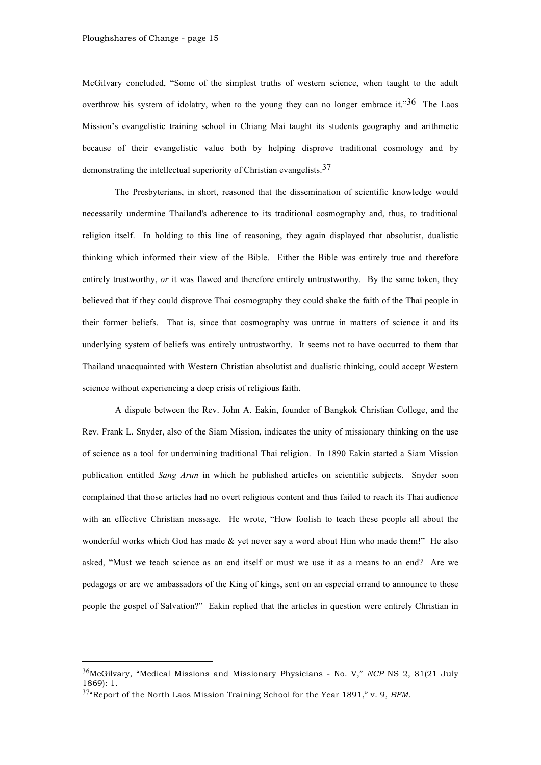McGilvary concluded, "Some of the simplest truths of western science, when taught to the adult overthrow his system of idolatry, when to the young they can no longer embrace it."<sup>36</sup> The Laos Mission's evangelistic training school in Chiang Mai taught its students geography and arithmetic because of their evangelistic value both by helping disprove traditional cosmology and by demonstrating the intellectual superiority of Christian evangelists.37

The Presbyterians, in short, reasoned that the dissemination of scientific knowledge would necessarily undermine Thailand's adherence to its traditional cosmography and, thus, to traditional religion itself. In holding to this line of reasoning, they again displayed that absolutist, dualistic thinking which informed their view of the Bible. Either the Bible was entirely true and therefore entirely trustworthy, *or* it was flawed and therefore entirely untrustworthy. By the same token, they believed that if they could disprove Thai cosmography they could shake the faith of the Thai people in their former beliefs. That is, since that cosmography was untrue in matters of science it and its underlying system of beliefs was entirely untrustworthy. It seems not to have occurred to them that Thailand unacquainted with Western Christian absolutist and dualistic thinking, could accept Western science without experiencing a deep crisis of religious faith.

A dispute between the Rev. John A. Eakin, founder of Bangkok Christian College, and the Rev. Frank L. Snyder, also of the Siam Mission, indicates the unity of missionary thinking on the use of science as a tool for undermining traditional Thai religion. In 1890 Eakin started a Siam Mission publication entitled *Sang Arun* in which he published articles on scientific subjects. Snyder soon complained that those articles had no overt religious content and thus failed to reach its Thai audience with an effective Christian message. He wrote, "How foolish to teach these people all about the wonderful works which God has made & yet never say a word about Him who made them!" He also asked, "Must we teach science as an end itself or must we use it as a means to an end? Are we pedagogs or are we ambassadors of the King of kings, sent on an especial errand to announce to these people the gospel of Salvation?" Eakin replied that the articles in question were entirely Christian in

 <sup>36</sup>McGilvary, "Medical Missions and Missionary Physicians - No. V," *NCP* NS 2, 81(21 July 1869): 1.

<sup>37</sup>"Report of the North Laos Mission Training School for the Year 1891," v. 9, *BFM*.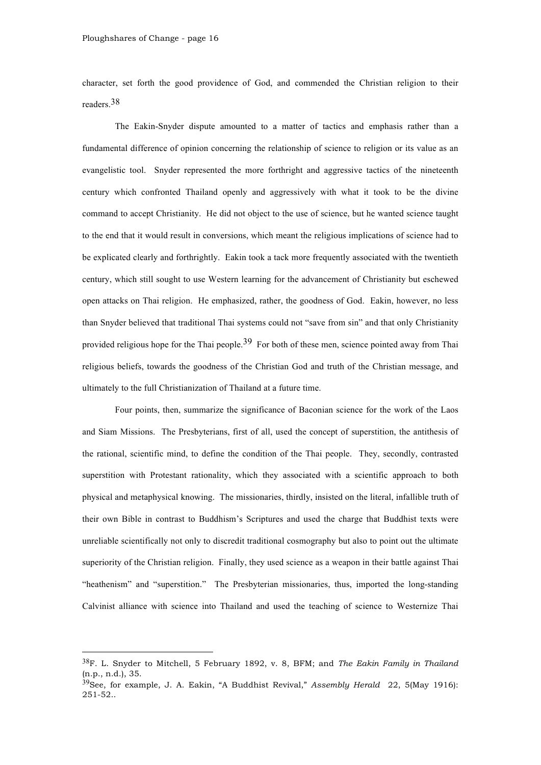character, set forth the good providence of God, and commended the Christian religion to their readers.38

The Eakin-Snyder dispute amounted to a matter of tactics and emphasis rather than a fundamental difference of opinion concerning the relationship of science to religion or its value as an evangelistic tool. Snyder represented the more forthright and aggressive tactics of the nineteenth century which confronted Thailand openly and aggressively with what it took to be the divine command to accept Christianity. He did not object to the use of science, but he wanted science taught to the end that it would result in conversions, which meant the religious implications of science had to be explicated clearly and forthrightly. Eakin took a tack more frequently associated with the twentieth century, which still sought to use Western learning for the advancement of Christianity but eschewed open attacks on Thai religion. He emphasized, rather, the goodness of God. Eakin, however, no less than Snyder believed that traditional Thai systems could not "save from sin" and that only Christianity provided religious hope for the Thai people.<sup>39</sup> For both of these men, science pointed away from Thai religious beliefs, towards the goodness of the Christian God and truth of the Christian message, and ultimately to the full Christianization of Thailand at a future time.

Four points, then, summarize the significance of Baconian science for the work of the Laos and Siam Missions. The Presbyterians, first of all, used the concept of superstition, the antithesis of the rational, scientific mind, to define the condition of the Thai people. They, secondly, contrasted superstition with Protestant rationality, which they associated with a scientific approach to both physical and metaphysical knowing. The missionaries, thirdly, insisted on the literal, infallible truth of their own Bible in contrast to Buddhism's Scriptures and used the charge that Buddhist texts were unreliable scientifically not only to discredit traditional cosmography but also to point out the ultimate superiority of the Christian religion. Finally, they used science as a weapon in their battle against Thai "heathenism" and "superstition." The Presbyterian missionaries, thus, imported the long-standing Calvinist alliance with science into Thailand and used the teaching of science to Westernize Thai

 <sup>38</sup>F. L. Snyder to Mitchell, 5 February 1892, v. 8, BFM; and *The Eakin Family in Thailand* (n.p., n.d.), 35.

<sup>39</sup>See, for example, J. A. Eakin, "A Buddhist Revival," *Assembly Herald* 22, 5(May 1916): 251-52..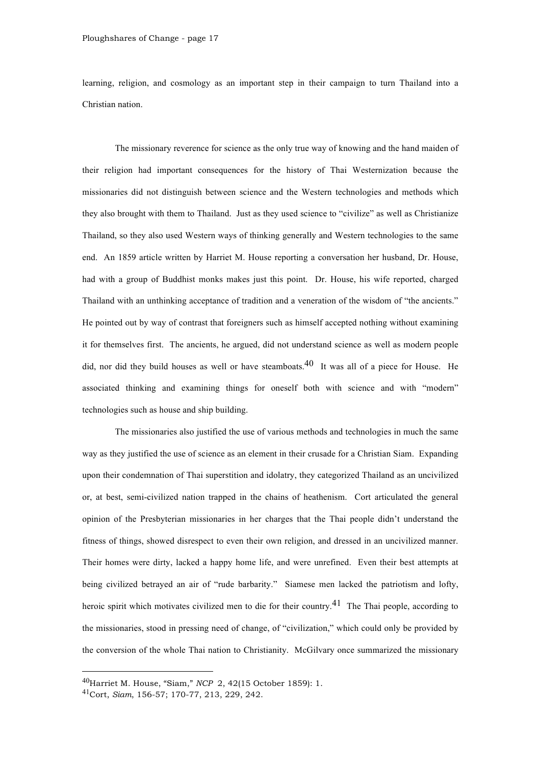learning, religion, and cosmology as an important step in their campaign to turn Thailand into a Christian nation.

The missionary reverence for science as the only true way of knowing and the hand maiden of their religion had important consequences for the history of Thai Westernization because the missionaries did not distinguish between science and the Western technologies and methods which they also brought with them to Thailand. Just as they used science to "civilize" as well as Christianize Thailand, so they also used Western ways of thinking generally and Western technologies to the same end. An 1859 article written by Harriet M. House reporting a conversation her husband, Dr. House, had with a group of Buddhist monks makes just this point. Dr. House, his wife reported, charged Thailand with an unthinking acceptance of tradition and a veneration of the wisdom of "the ancients." He pointed out by way of contrast that foreigners such as himself accepted nothing without examining it for themselves first. The ancients, he argued, did not understand science as well as modern people did, nor did they build houses as well or have steamboats.<sup>40</sup> It was all of a piece for House. He associated thinking and examining things for oneself both with science and with "modern" technologies such as house and ship building.

The missionaries also justified the use of various methods and technologies in much the same way as they justified the use of science as an element in their crusade for a Christian Siam. Expanding upon their condemnation of Thai superstition and idolatry, they categorized Thailand as an uncivilized or, at best, semi-civilized nation trapped in the chains of heathenism. Cort articulated the general opinion of the Presbyterian missionaries in her charges that the Thai people didn't understand the fitness of things, showed disrespect to even their own religion, and dressed in an uncivilized manner. Their homes were dirty, lacked a happy home life, and were unrefined. Even their best attempts at being civilized betrayed an air of "rude barbarity." Siamese men lacked the patriotism and lofty, heroic spirit which motivates civilized men to die for their country.<sup>41</sup> The Thai people, according to the missionaries, stood in pressing need of change, of "civilization," which could only be provided by the conversion of the whole Thai nation to Christianity. McGilvary once summarized the missionary

 <sup>40</sup>Harriet M. House, "Siam," *NCP* 2, 42(15 October 1859): 1.

<sup>41</sup>Cort, *Siam*, 156-57; 170-77, 213, 229, 242.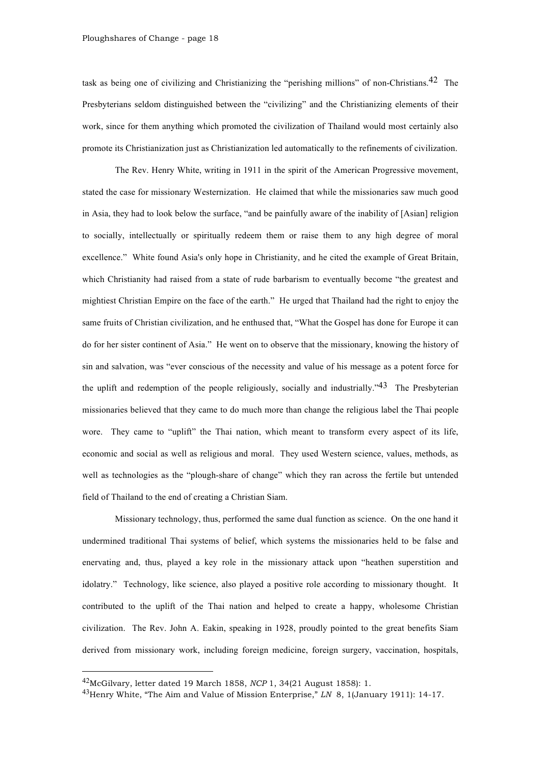task as being one of civilizing and Christianizing the "perishing millions" of non-Christians.42 The Presbyterians seldom distinguished between the "civilizing" and the Christianizing elements of their work, since for them anything which promoted the civilization of Thailand would most certainly also promote its Christianization just as Christianization led automatically to the refinements of civilization.

The Rev. Henry White, writing in 1911 in the spirit of the American Progressive movement, stated the case for missionary Westernization. He claimed that while the missionaries saw much good in Asia, they had to look below the surface, "and be painfully aware of the inability of [Asian] religion to socially, intellectually or spiritually redeem them or raise them to any high degree of moral excellence." White found Asia's only hope in Christianity, and he cited the example of Great Britain, which Christianity had raised from a state of rude barbarism to eventually become "the greatest and mightiest Christian Empire on the face of the earth." He urged that Thailand had the right to enjoy the same fruits of Christian civilization, and he enthused that, "What the Gospel has done for Europe it can do for her sister continent of Asia." He went on to observe that the missionary, knowing the history of sin and salvation, was "ever conscious of the necessity and value of his message as a potent force for the uplift and redemption of the people religiously, socially and industrially."<sup>43</sup> The Presbyterian missionaries believed that they came to do much more than change the religious label the Thai people wore. They came to "uplift" the Thai nation, which meant to transform every aspect of its life, economic and social as well as religious and moral. They used Western science, values, methods, as well as technologies as the "plough-share of change" which they ran across the fertile but untended field of Thailand to the end of creating a Christian Siam.

Missionary technology, thus, performed the same dual function as science. On the one hand it undermined traditional Thai systems of belief, which systems the missionaries held to be false and enervating and, thus, played a key role in the missionary attack upon "heathen superstition and idolatry." Technology, like science, also played a positive role according to missionary thought. It contributed to the uplift of the Thai nation and helped to create a happy, wholesome Christian civilization. The Rev. John A. Eakin, speaking in 1928, proudly pointed to the great benefits Siam derived from missionary work, including foreign medicine, foreign surgery, vaccination, hospitals,

 <sup>42</sup>McGilvary, letter dated 19 March 1858, *NCP* 1, 34(21 August 1858): 1.

<sup>43</sup>Henry White, "The Aim and Value of Mission Enterprise," *LN* 8, 1(January 1911): 14-17.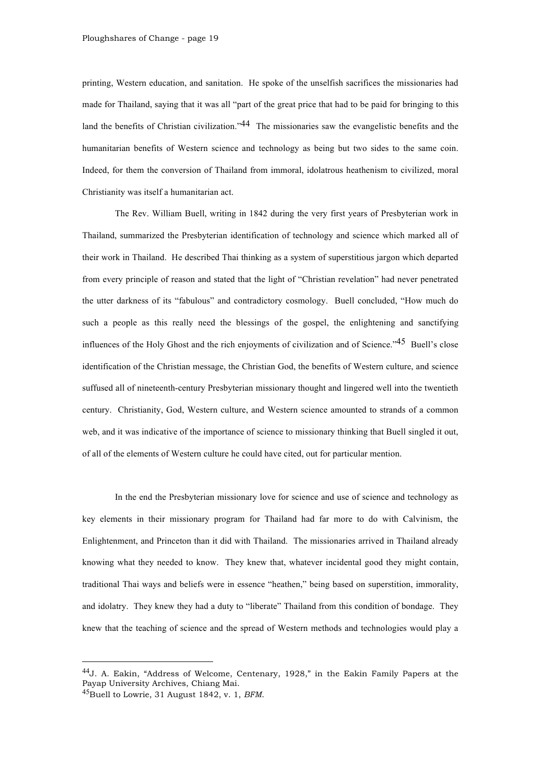printing, Western education, and sanitation. He spoke of the unselfish sacrifices the missionaries had made for Thailand, saying that it was all "part of the great price that had to be paid for bringing to this land the benefits of Christian civilization."<sup>44</sup> The missionaries saw the evangelistic benefits and the humanitarian benefits of Western science and technology as being but two sides to the same coin. Indeed, for them the conversion of Thailand from immoral, idolatrous heathenism to civilized, moral Christianity was itself a humanitarian act.

The Rev. William Buell, writing in 1842 during the very first years of Presbyterian work in Thailand, summarized the Presbyterian identification of technology and science which marked all of their work in Thailand. He described Thai thinking as a system of superstitious jargon which departed from every principle of reason and stated that the light of "Christian revelation" had never penetrated the utter darkness of its "fabulous" and contradictory cosmology. Buell concluded, "How much do such a people as this really need the blessings of the gospel, the enlightening and sanctifying influences of the Holy Ghost and the rich enjoyments of civilization and of Science."<sup>45</sup> Buell's close identification of the Christian message, the Christian God, the benefits of Western culture, and science suffused all of nineteenth-century Presbyterian missionary thought and lingered well into the twentieth century. Christianity, God, Western culture, and Western science amounted to strands of a common web, and it was indicative of the importance of science to missionary thinking that Buell singled it out, of all of the elements of Western culture he could have cited, out for particular mention.

In the end the Presbyterian missionary love for science and use of science and technology as key elements in their missionary program for Thailand had far more to do with Calvinism, the Enlightenment, and Princeton than it did with Thailand. The missionaries arrived in Thailand already knowing what they needed to know. They knew that, whatever incidental good they might contain, traditional Thai ways and beliefs were in essence "heathen," being based on superstition, immorality, and idolatry. They knew they had a duty to "liberate" Thailand from this condition of bondage. They knew that the teaching of science and the spread of Western methods and technologies would play a

 <sup>44</sup>J. A. Eakin, "Address of Welcome, Centenary, 1928," in the Eakin Family Papers at the Payap University Archives, Chiang Mai.

<sup>45</sup>Buell to Lowrie, 31 August 1842, v. 1, *BFM*.